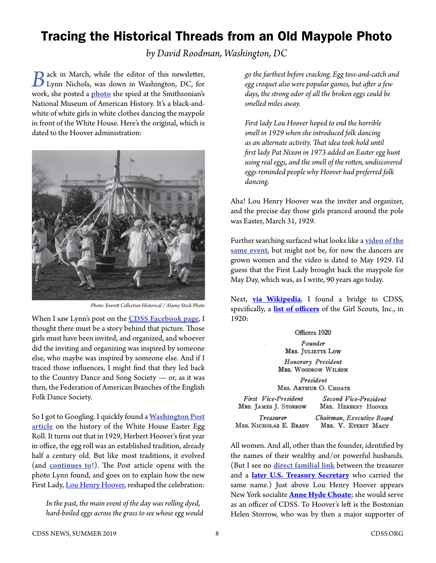## Tracing the Historical Threads from an Old Maypole Photo

*by David Roodman, Washington, DC*

**B**ack in March, while the editor of this newsletter, Lynn Nichols, was down in Washington, DC, for work, she posted a **[photo](https://www.facebook.com/cdss.org/photos/a.215316288503010/2407928499241767/?type=3&theater)** she spied at the Smithsonian's National Museum of American History. It's a black-andwhite of white girls in white clothes dancing the maypole in front of the White House. Here's the original, which is dated to the Hoover administration:



*Photo: Everett Collection Historical / Alamy Stock Photo*

When I saw Lynn's post on the **[CDSS Facebook page](https://www.facebook.com/cdss.org)**, I thought there must be a story behind that picture. Those girls must have been invited, and organized, and whoever did the inviting and organizing was inspired by someone else, who maybe was inspired by someone else. And if I traced those influences, I might find that they led back to the Country Dance and Song Society — or, as it was then, the Federation of American Branches of the English Folk Dance Society.

So I got to Googling. I quickly found a **[Washington Post](https://www.washingtonpost.com/lifestyle/kidspost/easter-monday-egg-citement-has-been-a-white-house-tradition-since-1878/2015/04/03/6e3cbc44-ce6d-11e4-8a46-b1dc9be5a8ff_story.html?fbclid=IwAR2KIDkoicuwWveDxjiATWFstaNjdMPIQYpT7LL12qnXrjiOEtSoljhuN68&utm_term=.be65963412fd)**  [article](https://www.washingtonpost.com/lifestyle/kidspost/easter-monday-egg-citement-has-been-a-white-house-tradition-since-1878/2015/04/03/6e3cbc44-ce6d-11e4-8a46-b1dc9be5a8ff_story.html?fbclid=IwAR2KIDkoicuwWveDxjiATWFstaNjdMPIQYpT7LL12qnXrjiOEtSoljhuN68&utm_term=.be65963412fd) on the history of the White House Easter Egg Roll. It turns out that in 1929, Herbert Hoover's first year in office, the egg roll was an established tradition, already half a century old. But like most traditions, it evolved (and **[continues to](https://peopledotcom.files.wordpress.com/2019/04/easter-egg-roll-5.jpg)!**). The Post article opens with the photo Lynn found, and goes on to explain how the new First Lady, [Lou Henry Hoover,](http://www.firstladies.org/biographies/firstladies.aspx?biography=32) reshaped the celebration:

*In the past, the main event of the day was rolling dyed, hard-boiled eggs across the grass to see whose egg would*  *go the farthest before cracking. Egg toss-and-catch and egg croquet also were popular games, but after a few days, the strong odor of all the broken eggs could be smelled miles away.*

*First lady Lou Hoover hoped to end the horrible smell in 1929 when she introduced folk dancing as an alternate activity. That idea took hold until first lady Pat Nixon in 1973 added an Easter egg hunt using real eggs, and the smell of the rotten, undiscovered eggs reminded people why Hoover had preferred folk dancing.*

Aha! Lou Henry Hoover was the inviter and organizer, and the precise day those girls pranced around the pole was Easter, March 31, 1929.

Further searching surfaced what looks like a **[video of the](https://youtu.be/B2m0a2NPhy4?t=18)  [same event](https://youtu.be/B2m0a2NPhy4?t=18)**, but might not be, for now the dancers are grown women and the video is dated to May 1929. I'd guess that the First Lady brought back the maypole for May Day, which was, as I write, 90 years ago today.

Next, **[via Wikipedia](https://en.wikipedia.org/wiki/Helen_Storrow?fbclid=IwAR2xDR_WMcI4lHNL6QywqK5hkVRQcFo8XZDOviVQ1ldvI7NzO005mjgz0F8#Scouting)**, I found a bridge to CDSS, specifically, a **[list of officers](https://books.google.com/books?id=48UiAAAAMAAJ&dq=%22juliette%20low%22%20storrow&pg=PA555#v=onepage&q&f=false)** of the Girl Scouts, Inc., in 1920:

## Officers 1920

Founder

**MRS. JULIETTE LOW** 

Honorary President MRS. WOODROW WILSON

President MRS. ARTHUR O. CHOATE

| First Vice-President  |   |
|-----------------------|---|
| MRS. JAMES J. STORROW | I |
|                       |   |

Second Vice-President MRS. HERBERT HOOVER

Chairman, Executive Board Treasurer MRS. NICHOLAS E. BRADY MRS. V. EVERIT MACY

All women. And all, other than the founder, identified by the names of their wealthy and/or powerful husbands. (But I see no **[direct familial link](https://en.wikipedia.org/wiki/Genevieve_Garvan_Brady)** between the treasurer and a **[later U.S. Treasury Secretary](https://en.wikipedia.org/wiki/Nicholas_F._Brady)** who carried the same name.) Just above Lou Henry Hoover appears New York socialite **[Anne Hyde Choate](https://en.wikipedia.org/wiki/Anne_Hyde_Choate)**; she would serve as an officer of CDSS. To Hoover's left is the Bostonian Helen Storrow, who was by then a major supporter of